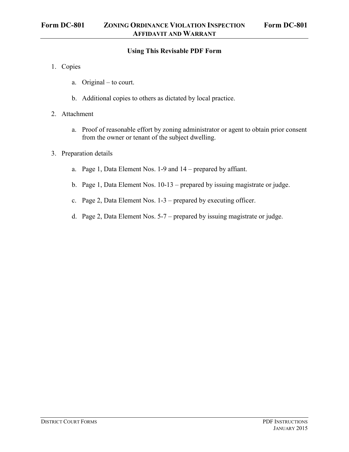## **Using This Revisable PDF Form**

- 1. Copies
	- a. Original to court.
	- b. Additional copies to others as dictated by local practice.
- 2. Attachment
	- a. Proof of reasonable effort by zoning administrator or agent to obtain prior consent from the owner or tenant of the subject dwelling.
- 3. Preparation details
	- a. Page 1, Data Element Nos. 1-9 and 14 prepared by affiant.
	- b. Page 1, Data Element Nos. 10-13 prepared by issuing magistrate or judge.
	- c. Page 2, Data Element Nos. 1-3 prepared by executing officer.
	- d. Page 2, Data Element Nos. 5-7 prepared by issuing magistrate or judge.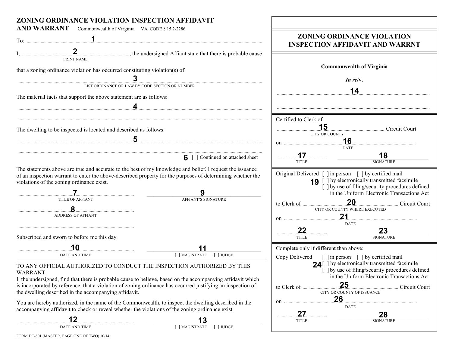| ZONING ORDINANCE VIOLATION INSPECTION AFFIDAVIT                                                                                                                                                                                                                                                                                                                                                                                                                                               |                                                                                                                                                       |                                                                                                                                                                                                                                                                                                                              |
|-----------------------------------------------------------------------------------------------------------------------------------------------------------------------------------------------------------------------------------------------------------------------------------------------------------------------------------------------------------------------------------------------------------------------------------------------------------------------------------------------|-------------------------------------------------------------------------------------------------------------------------------------------------------|------------------------------------------------------------------------------------------------------------------------------------------------------------------------------------------------------------------------------------------------------------------------------------------------------------------------------|
| AND WARRANT Commonwealth of Virginia VA. CODE § 15.2-2286                                                                                                                                                                                                                                                                                                                                                                                                                                     |                                                                                                                                                       | ZONING ORDINANCE VIOLATION<br><b>INSPECTION AFFIDAVIT AND WARRNT</b>                                                                                                                                                                                                                                                         |
| PRINT NAME<br>that a zoning ordinance violation has occurred constituting violation(s) of<br>The material facts that support the above statement are as follows:                                                                                                                                                                                                                                                                                                                              | LIST ORDINANCE OR LAW BY CODE SECTION OR NUMBER                                                                                                       | <b>Commonwealth of Virginia</b><br>In re/ $v$ .<br>14                                                                                                                                                                                                                                                                        |
| The dwelling to be inspected is located and described as follows:                                                                                                                                                                                                                                                                                                                                                                                                                             |                                                                                                                                                       | Certified to Clerk of<br>15<br><b>CITY OR COUNTY</b><br>16.<br><b>DATE</b>                                                                                                                                                                                                                                                   |
|                                                                                                                                                                                                                                                                                                                                                                                                                                                                                               | <b>6</b> [ ] Continued on attached sheet                                                                                                              | <u>18</u><br>17<br><b>SIGNATURE</b><br><b>TITLE</b>                                                                                                                                                                                                                                                                          |
| The statements above are true and accurate to the best of my knowledge and belief. I request the issuance<br>violations of the zoning ordinance exist.<br><b>TITLE OF AFFIANT</b><br>.8.<br><b>ADDRESS OF AFFIANT</b><br>Subscribed and sworn to before me this day.                                                                                                                                                                                                                          | of an inspection warrant to enter the above-described property for the purposes of determining whether the<br><b>AFFIANT'S SIGNATURE</b>              | Original Delivered [ ] in person [ ] by certified mail<br><b>19</b> [ ] by electronically transmitted facsimile<br>[ ] by use of filing/security procedures defined<br>in the Uniform Electronic Transactions Act<br>CITY OR COUNTY WHERE EXECUTED<br>21<br><b>DATE</b><br>22<br>23<br>.<br><b>SIGNATURE</b><br><b>TITLE</b> |
|                                                                                                                                                                                                                                                                                                                                                                                                                                                                                               |                                                                                                                                                       | Complete only if different than above:                                                                                                                                                                                                                                                                                       |
| DATE AND TIME                                                                                                                                                                                                                                                                                                                                                                                                                                                                                 | [ ] MAGISTRATE<br>$\lceil$ JUDGE                                                                                                                      | Copy Delivered [ ] in person [ ] by certified mail                                                                                                                                                                                                                                                                           |
| TO ANY OFFICIAL AUTHORIZED TO CONDUCT THE INSPECTION AUTHORIZED BY THIS<br>WARRANT:<br>is incorporated by reference, that a violation of zoning ordinance has occurred justifying an inspection of<br>the dwelling described in the accompanying affidavit.<br>You are hereby authorized, in the name of the Commonwealth, to inspect the dwelling described in the<br>accompanying affidavit to check or reveal whether the violations of the zoning ordinance exist.<br>12<br>DATE AND TIME | I, the undersigned, find that there is probable cause to believe, based on the accompanying affidavit which<br>13<br>[ ] MAGISTRATE<br>$\lceil$ JUDGE | 24 [ ] by electronically transmitted facsimile<br>[ ] by use of filing/security procedures defined<br>in the Uniform Electronic Transactions Act<br>25<br>CITY OR COUNTY OF ISSUANCE<br>26<br><b>DATE</b><br>27<br>28<br><b>TITLE</b><br><b>SIGNATURE</b>                                                                    |

FORM DC-801 (MASTER, PAGE ONE OF TWO) 10/14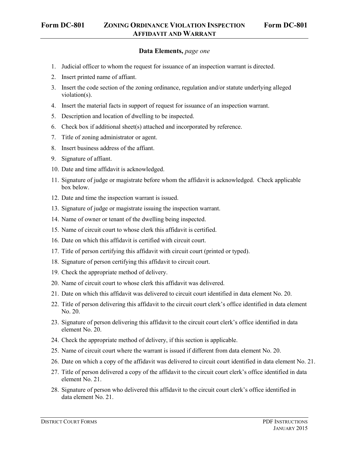## **Data Elements,** *page one*

- 1. Judicial officer to whom the request for issuance of an inspection warrant is directed.
- 2. Insert printed name of affiant.
- 3. Insert the code section of the zoning ordinance, regulation and/or statute underlying alleged violation(s).
- 4. Insert the material facts in support of request for issuance of an inspection warrant.
- 5. Description and location of dwelling to be inspected.
- 6. Check box if additional sheet(s) attached and incorporated by reference.
- 7. Title of zoning administrator or agent.
- 8. Insert business address of the affiant.
- 9. Signature of affiant.
- 10. Date and time affidavit is acknowledged.
- 11. Signature of judge or magistrate before whom the affidavit is acknowledged. Check applicable box below.
- 12. Date and time the inspection warrant is issued.
- 13. Signature of judge or magistrate issuing the inspection warrant.
- 14. Name of owner or tenant of the dwelling being inspected.
- 15. Name of circuit court to whose clerk this affidavit is certified.
- 16. Date on which this affidavit is certified with circuit court.
- 17. Title of person certifying this affidavit with circuit court (printed or typed).
- 18. Signature of person certifying this affidavit to circuit court.
- 19. Check the appropriate method of delivery.
- 20. Name of circuit court to whose clerk this affidavit was delivered.
- 21. Date on which this affidavit was delivered to circuit court identified in data element No. 20.
- 22. Title of person delivering this affidavit to the circuit court clerk's office identified in data element No. 20.
- 23. Signature of person delivering this affidavit to the circuit court clerk's office identified in data element No. 20.
- 24. Check the appropriate method of delivery, if this section is applicable.
- 25. Name of circuit court where the warrant is issued if different from data element No. 20.
- 26. Date on which a copy of the affidavit was delivered to circuit court identified in data element No. 21.
- 27. Title of person delivered a copy of the affidavit to the circuit court clerk's office identified in data element No. 21.
- 28. Signature of person who delivered this affidavit to the circuit court clerk's office identified in data element No. 21.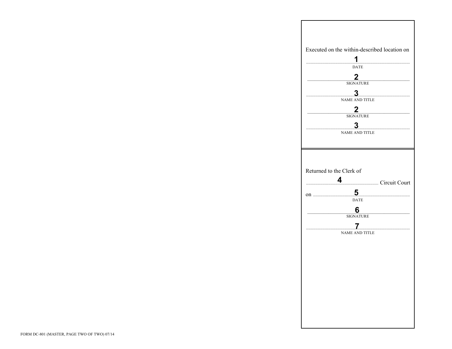